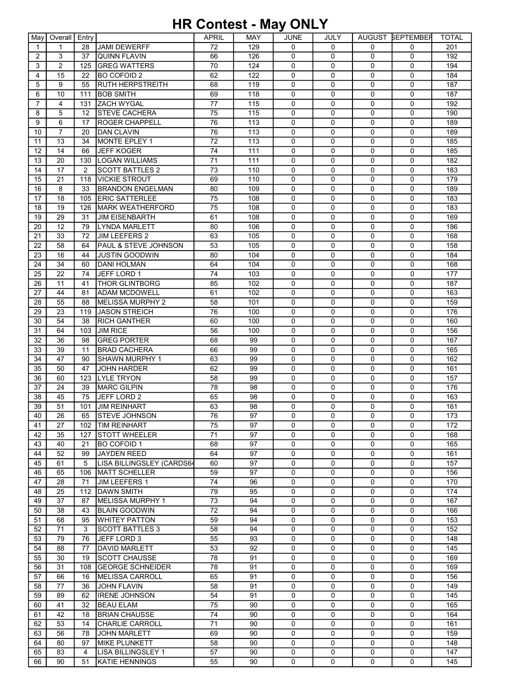## HR Contest - May ONLY

| May         | Overall        | Entry          |                                 | APRIL | <b>MAY</b> | JUNE         | JULY         |                | AUGUST BEPTEMBER | <b>TOTAL</b> |
|-------------|----------------|----------------|---------------------------------|-------|------------|--------------|--------------|----------------|------------------|--------------|
| $\mathbf 1$ | $\mathbf{1}$   | 28             | <b>JAMI DEWERFF</b>             | 72    | 129        | $\mathbf{0}$ | $\mathbf{0}$ | $\Omega$       | $\Omega$         | 201          |
| 2           | 3              | 37             | <b>QUINN FLAVIN</b>             | 66    | 126        | $\mathbf 0$  | $\Omega$     | 0              | 0                | 192          |
| 3           | $\overline{2}$ | 125            | <b>GREG WATTERS</b>             | 70    | 124        | 0            | $\Omega$     | 0              | $\Omega$         | 194          |
| 4           | 15             | 22             | <b>BO COFOID 2</b>              | 62    | 122        | $\mathbf 0$  | $\mathbf 0$  | 0              | $\Omega$         | 184          |
| 5           | 9              | 55             | RUTH HERPSTREITH                | 68    | 119        | 0            | $\mathbf 0$  | 0              | $\mathbf 0$      | 187          |
| 6           | 10             | 111            | <b>BOB SMITH</b>                | 69    | 118        | 0            | $\mathbf 0$  | 0              | 0                | 187          |
| 7           | 4              |                | 131 ZACH WYGAL                  | 77    | 115        | $\mathbf 0$  | $\Omega$     | 0              | 0                | 192          |
| 8           | 5              | 12             | <b>STEVE CACHERA</b>            | 75    | 115        | 0            | $\Omega$     | 0              | 0                | 190          |
| 9           | 6              | 17             | <b>ROGER CHAPPELL</b>           | 76    | 113        | 0            | 0            | 0              | 0                | 189          |
| 10          | $\overline{7}$ | 20             | <b>DAN CLAVIN</b>               | 76    | 113        | 0            | 0            | 0              | 0                | 189          |
| 11          | 13             | 34             | MONTE EPLEY 1                   | 72    | 113        | 0            | $\mathbf 0$  | 0              | 0                | 185          |
| 12          | 14             | 66             | <b>JEFF KOGER</b>               | 74    | 111        | $\mathbf 0$  | $\mathbf 0$  | 0              | 0                | 185          |
| 13          | 20             | 130            | <b>LOGAN WILLIAMS</b>           | 71    | 111        | $\mathbf 0$  | $\Omega$     | 0              | 0                | 182          |
| 14          | 17             | $\overline{2}$ | <b>SCOTT BATTLES 2</b>          | 73    | 110        | 0            | $\Omega$     | 0              | 0                | 183          |
| 15          | 21             | 118            | <b>VICKIE STROUT</b>            | 69    | 110        | $\mathbf 0$  | $\Omega$     | 0              | $\mathbf 0$      | 179          |
| 16          | 8              | 33             | <b>BRANDON ENGELMAN</b>         | 80    | 109        | $\mathbf 0$  | $\mathbf 0$  | 0              | $\mathbf 0$      | 189          |
| 17          | 18             | 105            | <b>ERIC SATTERLEE</b>           | 75    | 108        | 0            | $\mathbf 0$  | 0              | 0                | 183          |
| 18          | 19             | 126            | <b>MARK WEATHERFORD</b>         | 75    | 108        | $\mathbf 0$  | $\Omega$     | $\Omega$       | $\mathbf{0}$     | 183          |
| 19          | 29             | 31             | <b>JIM EISENBARTH</b>           | 61    | 108        | 0            | $\Omega$     | 0              | 0                | 169          |
| 20          | 12             | 79             | <b>LYNDA MARLETT</b>            | 80    | 106        | 0            | $\mathbf 0$  | 0              | 0                | 186          |
| 21          | 33             | 72             | <b>JIM LEEFERS 2</b>            | 63    | 105        | 0            | 0            | 0              | 0                | 168          |
| 22          | 58             | 64             | <b>PAUL &amp; STEVE JOHNSON</b> | 53    | 105        | $\mathbf 0$  | $\mathbf 0$  | 0              | $\mathbf 0$      | 158          |
| 23          | 16             | 44             | <b>JUSTIN GOODWIN</b>           | 80    | 104        | 0            | $\mathbf 0$  | 0              | 0                | 184          |
| 24          | 34             | 60             | <b>DANI HOLMAN</b>              | 64    | 104        | $\mathbf 0$  | $\Omega$     | 0              | 0                | 168          |
| 25          | 22             | 74             | JEFF LORD 1                     | 74    | 103        | 0            | $\Omega$     | 0              | 0                | 177          |
| 26          | 11             | 41             | <b>THOR GLINTBORG</b>           | 85    | 102        | $\mathbf 0$  | $\mathbf 0$  | 0              | $\mathbf 0$      | 187          |
| 27          | 44             | 81             | <b>ADAM MCDOWELL</b>            | 61    | 102        | $\mathbf 0$  | $\Omega$     | 0              | $\mathbf 0$      | 163          |
|             | 55             |                | MELISSA MURPHY 2                | 58    | 101        | 0            | $\Omega$     | 0              | 0                | 159          |
| 28<br>29    | 23             | 88             | <b>JASON STREICH</b>            | 76    | 100        | $\mathbf{0}$ | $\Omega$     | $\Omega$       | 0                | 176          |
|             | 54             | 119<br>38      | <b>RICH GANTHER</b>             |       | 100        | 0            | $\Omega$     | 0              | 0                | 160          |
| 30          |                |                |                                 | 60    |            |              |              |                |                  |              |
| 31          | 64             | 103            | <b>JIM RICE</b>                 | 56    | 100        | $\mathbf 0$  | $\mathbf 0$  | 0              | 0                | 156          |
| 32          | 36             | 98             | <b>GREG PORTER</b>              | 68    | 99         | 0            | 0            | 0              | 0                | 167          |
| 33          | 39             | 11             | <b>BRAD CACHERA</b>             | 66    | 99         | $\mathbf 0$  | $\mathbf 0$  | 0              | $\mathbf 0$      | 165          |
| 34          | 47             | 90             | SHAWN MURPHY 1                  | 63    | 99         | $\mathbf 0$  | $\Omega$     | 0              | 0                | 162          |
| 35          | 50             | 47             | <b>JOHN HARDER</b>              | 62    | 99         | $\mathbf 0$  | $\Omega$     | 0              | 0                | 161          |
| 36          | 60             | 123            | <b>LYLE TRYON</b>               | 58    | 99         | $\mathbf 0$  | $\Omega$     | 0              | 0                | 157          |
| 37          | 24             | 39             | <b>MARC GILPIN</b>              | 78    | 98         | $\mathbf 0$  | $\mathbf 0$  | 0              | 0                | 176          |
| 38          | 45             | 75             | JEFF LORD 2                     | 65    | 98         | 0            | $\mathbf 0$  | 0              | 0                | 163          |
| 39          | 51             | 101            | <b>JIM REINHART</b>             | 63    | 98         | $\mathbf 0$  | $\mathbf 0$  | 0              | 0                | 161          |
| 40          | 26             | 65             | <b>ISTEVE JOHNSON</b>           | 76    | 97         | $\mathbf{0}$ | $\Omega$     | $\Omega$       | $\Omega$         | 173          |
| 41          | 27             |                | 102 TIM REINHART                | 75    | 97         | 0            | 0            | 0              | 0                | 172          |
| 42          | 35             | 127            | <b>STOTT WHEELER</b>            | 71    | 97         | $\Omega$     | $\Omega$     | 0              | $\Omega$         | 168          |
| 43          | 40             | 21             | <b>BO COFOID 1</b>              | 68    | 97         | 0            | 0            | 0              | 0                | 165          |
| 44          | 52             | 99             | JAYDEN REED                     | 64    | 97         | 0            | $\mathbf 0$  | 0              | 0                | 161          |
| 45          | 61             | 5              | LISA BILLINGSLEY (CARDS64       | 60    | 97         | 0            | 0            | 0              | 0                | 157          |
| 46          | 65             | 106            | IMATT SCHELLER                  | 59    | 97         | 0            | $\Omega$     | 0              | 0                | 156          |
| 47          | 28             | 71             | <b>JIM LEEFERS 1</b>            | 74    | 96         | 0            | 0            | 0              | 0                | 170          |
| 48          | 25             | 112            | <b>DAWN SMITH</b>               | 79    | 95         | 0            | 0            | 0              | 0                | 174          |
| 49          | 37             | 87             | MELISSA MURPHY 1                | 73    | 94         | 0            | 0            | 0              | 0                | 167          |
| 50          | 38             | 43             | <b>BLAIN GOODWIN</b>            | 72    | 94         | 0            | $\mathbf 0$  | 0              | 0                | 166          |
| 51          | 68             | 95             | <b>WHITEY PATTON</b>            | 59    | 94         | 0            | $\mathbf 0$  | $\overline{0}$ | 0                | 153          |
| 52          | 71             | 3              | <b>SCOTT BATTLES 3</b>          | 58    | 94         | 0            | $\Omega$     | 0              | 0                | 152          |
| 53          | 79             | 76             | JEFF LORD 3                     | 55    | 93         | 0            | 0            | 0              | 0                | 148          |
| 54          | 88             | 77             | <b>DAVID MARLETT</b>            | 53    | 92         | 0            | 0            | 0              | 0                | 145          |
| 55          | 30             | 19             | <b>SCOTT CHAUSSE</b>            | 78    | 91         | 0            | $\mathbf 0$  | 0              | 0                | 169          |
| 56          | 31             | 108            | <b>GEORGE SCHNEIDER</b>         | 78    | 91         | 0            | 0            | 0              | 0                | 169          |
| 57          | 66             | 16             | <b>MELISSA CARROLL</b>          | 65    | 91         | 0            | $\mathbf{0}$ | 0              | 0                | 156          |
| 58          | 77             | 36             | <b>JOHN FLAVIN</b>              | 58    | 91         | 0            | 0            | 0              | 0                | 149          |
| 59          | 89             | 62             | <b>IRENE JOHNSON</b>            | 54    | 91         | 0            | 0            | 0              | 0                | 145          |
| 60          | 41             | 32             | <b>BEAU ELAM</b>                | 75    | 90         | 0            | 0            | 0              | 0                | 165          |
| 61          | 42             | 18             | <b>BRIAN CHAUSSE</b>            | 74    | 90         | 0            | $\mathbf 0$  | 0              | 0                | 164          |
| 62          | 53             | 14             | <b>CHARLIE CARROLL</b>          | 71    | 90         | 0            | 0            | 0              | 0                | 161          |
| 63          | 56             | 78             | <b>JOHN MARLETT</b>             | 69    | 90         | 0            | $\Omega$     | 0              | 0                | 159          |
| 64          | 80             | 97             | <b>MIKE PLUNKETT</b>            | 58    | 90         | 0            | 0            | 0              | 0                | 148          |
| 65          | 83             | 4              | <b>LISA BILLINGSLEY 1</b>       | 57    | 90         | 0            | 0            | 0              | 0                | 147          |
| 66          | 90             | 51             | <b>KATIE HENNINGS</b>           | 55    | 90         | 0            | 0            | 0              | 0                | 145          |